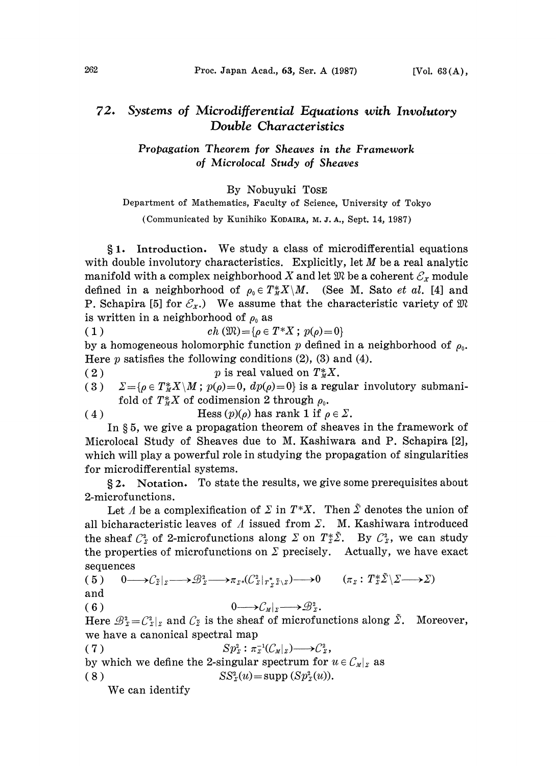## $72.$ Systems of Microdifferential Equations with Involutory Double Characteristics

Propagation Theorem for Sheaves in the Framework of Microlocal Study of Sheaves

By Nobuyuki T0SE

Department of Mathematics, Faculty of Science, University of Tokyo

(Communicated by Kunihiko KODAIRA, M. J. A., Sept. 14, 1987)

1. Introduction. We study <sup>a</sup> class of microdifferential equations with double involutory characteristics. Explicitly, let  $M$  be a real analytic manifold with a complex neighborhood X and let  $\mathfrak{M}$  be a coherent  $\mathcal{E}_x$  module defined in a neighborhood of  $\rho_0 \in T^*_M X \backslash M$ . (See M. Sato *et al.* [4] and P. Schapira [5] for  $\mathcal{E}_x$ .) We assume that the characteristic variety of  $\mathfrak{M}$ is written in a neighborhood of  $\rho_0$  as

( 1 )  $ch\left(\mathfrak{M}\right)=\{ \rho \in T^*X\,;\; p(\rho)=0\}$ 

by a homogeneous holomorphic function p defined in a neighborhood of  $\rho_0$ . Here  $p$  satisfies the following conditions (2), (3) and (4).

(2)  $p$  is real valued on  $T^*_M X$ .

(3)  $\Sigma = {\rho \in T^*_M X \setminus M; p(\rho) = 0, dp(\rho) = 0}$  is a regular involutory submanifold of  $T^*_M X$  of codimension 2 through  $\rho_0$ .

(4) Hess  $(p)(\rho)$  has rank 1 if  $\rho \in \Sigma$ .

In  $\S 5$ , we give a propagation theorem of sheaves in the framework of Microlocal Study of Sheaves due to M. Kashiwara and P. Schapira [2], which will play a powerful role in studying the propagation of singularities for microdifferential systems.

2. Notation. To state the results, we give some prerequisites about 2-microfunctions.

Let A be a complexification of  $\Sigma$  in  $T^*X$ . Then  $\tilde{\Sigma}$  denotes the union of all bicharacteristic leaves of  $\Lambda$  issued from  $\Sigma$ . M. Kashiwara introduced the sheaf  $C_z^2$  of 2-microfunctions along  $\Sigma$  on  $T_z^*\tilde{\Sigma}$ . By  $C_z^2$ , we can study the properties of microfunctions on  $\Sigma$  precisely. Actually, we have exact sequences

$$
(5) \quad 0 \longrightarrow C_{\tilde{Z}}|_{\tilde{Z}} \longrightarrow \mathcal{B}_{Z}^{2} \longrightarrow \pi_{\tilde{Z}^{*}}(C_{Z}^{2}|_{T_{\tilde{Z}}^{*}\tilde{Z}\setminus Z}) \longrightarrow 0 \quad (\pi_{Z}: T_{Z}^{*}\tilde{Z}\setminus \tilde{Z} \longrightarrow \tilde{Z})
$$

and

(6)  $0 \longrightarrow C_M|_{\Sigma} \longrightarrow \mathcal{B}_{\Sigma}^2$ .

Here  $\mathcal{B}_z^i = C_z^i|_{z}$  and  $C_{\tilde{z}}$  is the sheaf of microfunctions along  $\tilde{\Sigma}$ . Moreover, we have a canonical spectral map

(7)  $Sp_{\mathfrak{Z}}^2: \pi_{\mathfrak{Z}}^{-1}(\mathcal{C}_M|_{\mathfrak{Z}}) \longrightarrow \mathcal{C}_{\mathfrak{Z}}^2,$ by which we define the 2-singular spectrum for  $u \in \mathcal{C}_{M}|_{\Sigma}$  as ( 8 )  $SS_{\rm z}^2(u) = \text{supp}(Sp_{\rm z}^2(u)).$ 

We can identify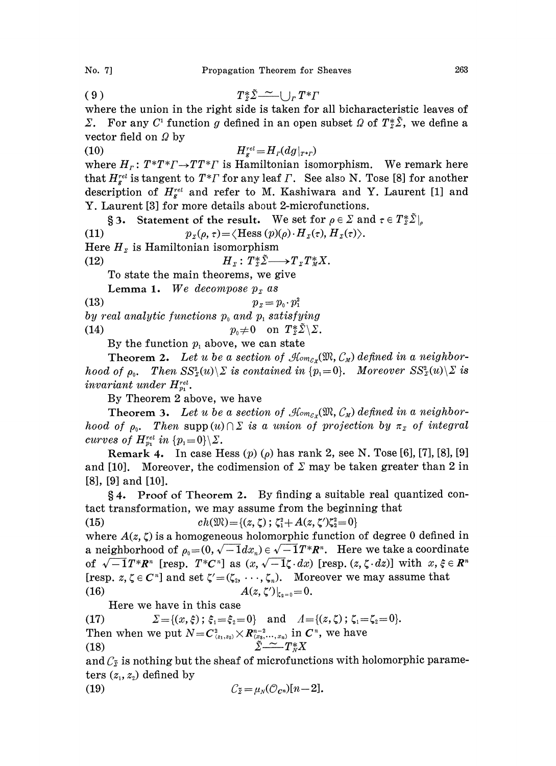(9)  $T^* \tilde{\Sigma} \sim |\int_r T^* F$ 

where the union in the right side is taken for all bicharacteristic leaves of  $\Sigma$ . For any  $C^1$  function g defined in an open subset  $\Omega$  of  $T^*_{\Sigma} \tilde{\Sigma}$ , we define a vector field on  $\Omega$  by

(10)  $H_r^{rel} = H_r(dg|_{r*r})$ where  $H_r: T^*T^*T \rightarrow TT^*T$  is Hamiltonian isomorphism. We remark here that  $H_s^{rel}$  is tangent to  $T^*T$  for any leaf  $\Gamma$ . See also N. Tose [8] for another description of  $H^{rel}_{\kappa}$  and refer to M. Kashiwara and Y. Laurent [1] and

Y. Laurent [3] for more details about 2-microfunctions. § 3. Statement of the result. We set for  $\rho \in \Sigma$  and  $\tau \in T_{\Sigma}^{*} \Sigma |_{\rho}$ (11)  $p_{\mathfrak{z}}(\rho, \tau) = \langle \text{Hess } (p)(\rho) \cdot H_{\mathfrak{z}}(\tau), H_{\mathfrak{z}}(\tau) \rangle.$ Here  $H<sub>y</sub>$  is Hamiltonian isomorphism

$$
(12) \tH_z: T_z^* \tilde{\Sigma} \longrightarrow T_z T_M^* X.
$$

To state the main theorems, we give

Lemma 1. We decompose  $p<sub>x</sub>$  as

(13)  $p_z = p_0 \cdot p_1^2$ 

- by real analytic functions  $p_{\text{o}}$  and  $p_{\text{i}}$  satisfying
- (14)  $p_0 \neq 0$  on  $T_{\mathcal{Z}}^* \tilde{\Sigma} \setminus \Sigma$ .

By the function  $p_1$  above, we can state

**Theorem 2.** Let u be a section of  $\mathcal{H}_{\text{om}_{\mathcal{E}_X}}(\mathfrak{M},\mathcal{C}_M)$  defined in a neighborhood of  $\rho_0$ . Then  $SS_z^2(u)\setminus\Sigma$  is contained in  $\{p_1=0\}$ . Moreover  $SS_z^2(u)\setminus\Sigma$  is invariant under  $H_{p_1}^{rel}$ .

By Theorem 2 above, we have

**Theorem 3.** Let u be a section of  $\mathcal{H}_{\text{om}_{\mathcal{E}_X}}(\mathfrak{M}, \mathcal{C}_M)$  defined in a neighborhood of  $\rho_0$ . Then supp $(u) \cap \Sigma$  is a union of projection by  $\pi_{\Sigma}$  of integral curves of  $H_{p_1}^{rel}$  in  $\{p_i = 0\} \backslash \Sigma$ .

**Remark 4.** In case Hess  $(p)$   $(p)$  has rank 2, see N. Tose [6], [7], [8], [9] and [10]. Moreover, the codimension of  $\Sigma$  may be taken greater than 2 in [8], [9] and [10].

4. Proof of Theorem 2. By finding a suitable real quantized contact transformation, we may assume from the beginning that<br>  $ch(\mathfrak{M}) = \{(z, \zeta) ; \zeta_1^2 + A(z, \zeta')\zeta_2^2 = 0\}$ 

(15) 
$$
ch(\mathfrak{M}) = \{(z, \zeta) ; \zeta_1^2 + A(z, \zeta')\zeta_2^2 = 0\}
$$

where  $A(z, \zeta)$  is a homogeneous holomorphic function of degree 0 defined in a neighborhood of  $\rho_0 = (0, \sqrt{-1}dx_n) \in \sqrt{-1}T^*R^n$ . Here we take a coordinate<br>of  $\sqrt{-1}T^*R^n$  [resp.  $T^*C^n$ ] as  $(x, \sqrt{-1}\zeta \cdot dx)$  [resp.  $(z, \zeta \cdot dz)$ ] with  $x, \xi \in R^n$ <br>[resp.  $z, \zeta \in C^n$ ] and set  $\zeta' = (\zeta_2, \dots, \zeta_n)$ . Moreove of  $\sqrt{-1}T^*R^n$  [resp.  $T^*C^n$ ] as  $(x, \sqrt{-1}\zeta \cdot dx)$  [resp.  $(z, \zeta \cdot dx)$ ] with  $x, \xi \in R^n$  $\sqrt{-1}T^*R^n$  [resp.  $T^*C^n$ ] as  $(x, \sqrt{-1}\zeta \cdot dx)$  [resp.  $(z, \zeta \cdot dz)$ ] with x,<br>sp.  $z, \zeta \in C^n$ ] and set  $\zeta' = (\zeta_2, \dots, \zeta_n)$ . Moreover we may assume th<br> $A(z, \zeta')|_{\zeta_2=0} = 0$ .<br>Here we have in this case [resp. z,  $\zeta \in C^n$ ] and set  $\zeta'=(\zeta_2, \cdots, \zeta_n)$ . Moreover we may assume that (16)  $A(z, \zeta')|_{z_{\alpha=0}} = 0.$ 

Here we have in this case

(17)  $\Sigma = \{(x, \xi) \; ; \; \xi_1 = \xi_2 = 0\}$  and  $A = \{(z, \zeta) \; ; \; \zeta_1 = \zeta_2 = 0\}.$ Then when we put  $N = C^2_{(z_1,z_2)} \times R^{n-2}_{(z_3,...,z_n)}$  in  $C^n$ , we have<br>
(18)  $\sum_{i=1}^n T^*_N X$ 

and  $C_{\tilde{z}}$  is nothing but the sheaf of microfunctions with holomorphic parameters  $(z_1, z_2)$  defined by

$$
(19) \tC_{\tilde{z}} = \mu_{N}(\mathcal{O}_{C^{n}})[n-2].
$$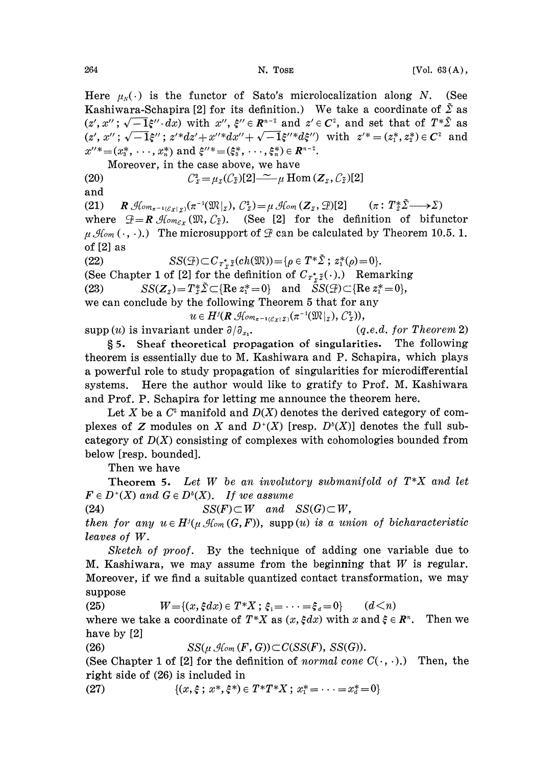Here  $\mu_{N}(\cdot)$  is the functor of Sato's microlocalization along N. (See Kashiwara-Schapira [2] for its definition.) We take a coordinate of  $\tilde{\Sigma}$  as  $(z', x''; \sqrt{-1}\xi'' \cdot dx)$  with  $x'', \xi'' \in \mathbb{R}^{n-2}$  and  $z' \in \mathbb{C}^2$ , and set that of  $T^*\tilde{\Sigma}$  as  $(z', x''; \sqrt{-1}\xi'' \cdot dx)$  with  $x''$ ,  $\xi'' \in \mathbb{R}^{n-2}$  and  $z' \in C^2$ , and set that of  $T^*\tilde{\Sigma}$  as  $(z', x''; \sqrt{-1}\xi''; z'^*dz' + x''^*dx'' + \sqrt{-1}\xi''^*d\xi'')$  with  $z'^* = (z_1^*, z_2^*) \in C^2$  and  $x''^*=(x_3^*, \dots, x_n^*)$  and  $\xi''^*=(\xi_3^*, \dots, \xi_n^*) \in \mathbb{R}^{n-2}$ .

Moreover, in the case above, we have

(20)  $C_{\tilde{y}}^2 = \mu_{\tilde{y}}(C_{\tilde{y}})[2] - \tilde{z} \mu \operatorname{Hom}(Z_{\tilde{y}}, C_{\tilde{y}})[2]$ 

and

(21)  $R \mathcal{H}_{om_{\pi^{-1}(\mathcal{E}_X|_{\Sigma})}}(\pi^{-1}(\mathfrak{M}|_{\Sigma}), \mathcal{C}_{\Sigma}^2)=\mu \mathcal{H}_{om}(\mathbf{Z}_{\Sigma}, \mathcal{D})[2] \qquad (\pi: T_{\Sigma}^*\tilde{\Sigma} \longrightarrow \Sigma)$ where  $\mathcal{F} = \mathbf{R} \mathcal{M}_{\text{om}_{\mathcal{E}_X}}(\mathfrak{M}, \mathcal{C}_{\tilde{\Sigma}}).$  (See [2] for the definition of bifunctor  $\mu$  Hom (...).) The microsupport of  $\mathcal G$  can be calculated by Theorem 10.5.1. of [2] as

(22)  $SS(\mathcal{D}) \subset C_{T^*, \tilde{Z}}(ch(\mathfrak{M})) = \{ \rho \in T^* \tilde{\Sigma} ; z_1^*(\rho) = 0 \}.$ (See Chapter 1 of [2] for the definition of  $C_{T^*,\tilde{z}}(\cdot)$ .) Remarking (23)  $SS(Z_z) = T_z^* \tilde{Z} \subset \{ \text{Re } z_1^* = 0 \}$  and  $\tilde{S}(\mathcal{D}) \subset \{ \text{Re } z_1^* = 0 \},$ we can conclude by the following Theorem 5 that for any  $u \in H^j(R\mathcal{A}_{\ell m_{\pi^{-1}(\mathcal{E}_X|X)}}(\pi^{-1}(\mathfrak{M}|_X), \mathcal{C}_X^2)),$ 

supp (*u*) is invariant under  $\partial/\partial_{x_1}$ . (q.e.d. for Theorem 2)

5. Sheaf theoretical propagation of singularities. The following theorem is essentially due to M. Kashiwara and P. Sehapira, which plays a powerful role to study propagation of singularities for mierodifferential systems. Here the author would like to gratify to Prof. M. Kashiwara and Prof. P. Sehapira for letting me announee the theorem here.

Let X be a  $C<sup>2</sup>$  manifold and  $D(X)$  denotes the derived category of complexes of Z modules on X and  $D^+(X)$  [resp.  $D^b(X)$ ] denotes the full subcategory of  $D(X)$  consisting of complexes with cohomologies bounded from below [resp. bounded].

Then we have

Theorem 5. Let  $W$  be an involutory submanifold of  $T^*X$  and let  $F \in D^*(X)$  and  $G \in D^*(X)$ . If we assume

(24)  $SS(F) \subset W$  and  $SS(G) \subset W$ ,

then for any  $u \in H^{j}(u \mathcal{A}_{\text{com}}(G, F))$ , supp (u) is a union of bicharacteristic leaves of W.

Sketch of proof. By the technique of adding one variable due to M. Kashiwara, we may assume from the beginning that  $W$  is regular. Moreover, if we find a suitable quantized contact transformation, we may suppose

(25)  $W = \{(x, \xi dx) \in T^*X \; ; \; \xi_1 = \cdots = \xi_d = 0\}$   $(d < n)$ 

where we take a coordinate of  $T^*X$  as  $(x, \xi dx)$  with  $x$  and  $\xi \in \mathbb{R}^n$ . Then we have by [2]

(26)  $SS(\mu \mathcal{A}_{om}(F, G)) \subset C(SS(F), SS(G)).$ 

(See Chapter 1 of [2] for the definition of normal cone  $C(\cdot, \cdot)$ .) Then, the right side of (26) is included in

(27)  $\{(x, \xi; x^*, \xi^*) \in T^*T^*X; x^*_1 = \cdots = x^*_d = 0\}$